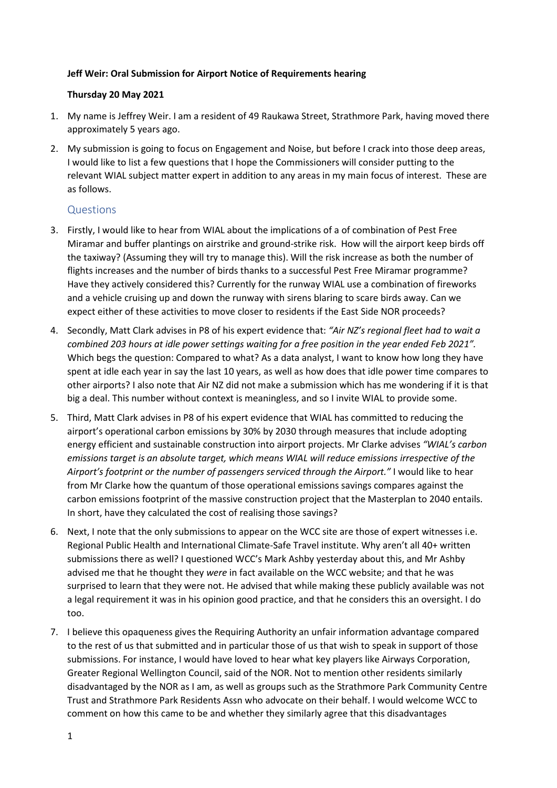#### **Jeff Weir: Oral Submission for Airport Notice of Requirements hearing**

#### **Thursday 20 May 2021**

- 1. My name is Jeffrey Weir. I am a resident of 49 Raukawa Street, Strathmore Park, having moved there approximately 5 years ago.
- 2. My submission is going to focus on Engagement and Noise, but before I crack into those deep areas, I would like to list a few questions that I hope the Commissioners will consider putting to the relevant WIAL subject matter expert in addition to any areas in my main focus of interest. These are as follows.

# Questions

- 3. Firstly, I would like to hear from WIAL about the implications of a of combination of Pest Free Miramar and buffer plantings on airstrike and ground-strike risk. How will the airport keep birds off the taxiway? (Assuming they will try to manage this). Will the risk increase as both the number of flights increases and the number of birds thanks to a successful Pest Free Miramar programme? Have they actively considered this? Currently for the runway WIAL use a combination of fireworks and a vehicle cruising up and down the runway with sirens blaring to scare birds away. Can we expect either of these activities to move closer to residents if the East Side NOR proceeds?
- 4. Secondly, Matt Clark advises in P8 of his expert evidence that: *"Air NZ's regional fleet had to wait a combined 203 hours at idle power settings waiting for a free position in the year ended Feb 2021".* Which begs the question: Compared to what? As a data analyst, I want to know how long they have spent at idle each year in say the last 10 years, as well as how does that idle power time compares to other airports? I also note that Air NZ did not make a submission which has me wondering if it is that big a deal. This number without context is meaningless, and so I invite WIAL to provide some.
- 5. Third, Matt Clark advises in P8 of his expert evidence that WIAL has committed to reducing the airport's operational carbon emissions by 30% by 2030 through measures that include adopting energy efficient and sustainable construction into airport projects. Mr Clarke advises *"WIAL's carbon emissions target is an absolute target, which means WIAL will reduce emissions irrespective of the Airport's footprint or the number of passengers serviced through the Airport."* I would like to hear from Mr Clarke how the quantum of those operational emissions savings compares against the carbon emissions footprint of the massive construction project that the Masterplan to 2040 entails. In short, have they calculated the cost of realising those savings?
- 6. Next, I note that the only submissions to appear on the WCC site are those of expert witnesses i.e. Regional Public Health and International Climate-Safe Travel institute. Why aren't all 40+ written submissions there as well? I questioned WCC's Mark Ashby yesterday about this, and Mr Ashby advised me that he thought they *were* in fact available on the WCC website; and that he was surprised to learn that they were not. He advised that while making these publicly available was not a legal requirement it was in his opinion good practice, and that he considers this an oversight. I do too.
- 7. I believe this opaqueness gives the Requiring Authority an unfair information advantage compared to the rest of us that submitted and in particular those of us that wish to speak in support of those submissions. For instance, I would have loved to hear what key players like Airways Corporation, Greater Regional Wellington Council, said of the NOR. Not to mention other residents similarly disadvantaged by the NOR as I am, as well as groups such as the Strathmore Park Community Centre Trust and Strathmore Park Residents Assn who advocate on their behalf. I would welcome WCC to comment on how this came to be and whether they similarly agree that this disadvantages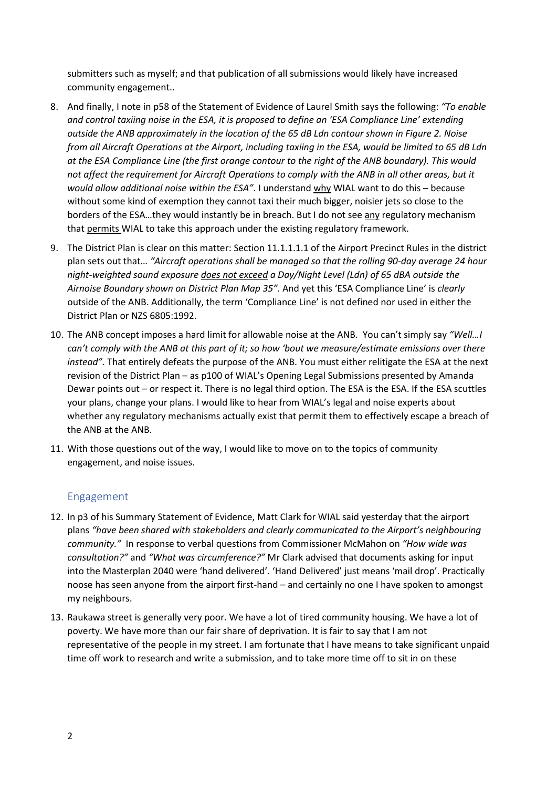submitters such as myself; and that publication of all submissions would likely have increased community engagement..

- 8. And finally, I note in p58 of the Statement of Evidence of Laurel Smith says the following: *"To enable and control taxiing noise in the ESA, it is proposed to define an 'ESA Compliance Line' extending outside the ANB approximately in the location of the 65 dB Ldn contour shown in Figure 2. Noise from all Aircraft Operations at the Airport, including taxiing in the ESA, would be limited to 65 dB Ldn at the ESA Compliance Line (the first orange contour to the right of the ANB boundary). This would not affect the requirement for Aircraft Operations to comply with the ANB in all other areas, but it would allow additional noise within the ESA"*. I understand why WIAL want to do this – because without some kind of exemption they cannot taxi their much bigger, noisier jets so close to the borders of the ESA…they would instantly be in breach. But I do not see any regulatory mechanism that permits WIAL to take this approach under the existing regulatory framework.
- 9. The District Plan is clear on this matter: Section 11.1.1.1.1 of the Airport Precinct Rules in the district plan sets out that… *"Aircraft operations shall be managed so that the rolling 90-day average 24 hour night-weighted sound exposure does not exceed a Day/Night Level (Ldn) of 65 dBA outside the Airnoise Boundary shown on District Plan Map 35".* And yet this 'ESA Compliance Line' is *clearly* outside of the ANB. Additionally, the term 'Compliance Line' is not defined nor used in either the District Plan or NZS 6805:1992.
- 10. The ANB concept imposes a hard limit for allowable noise at the ANB. You can't simply say *"Well…I can't comply with the ANB at this part of it; so how 'bout we measure/estimate emissions over there instead".* That entirely defeats the purpose of the ANB. You must either relitigate the ESA at the next revision of the District Plan – as p100 of WIAL's Opening Legal Submissions presented by Amanda Dewar points out – or respect it. There is no legal third option. The ESA is the ESA. If the ESA scuttles your plans, change your plans. I would like to hear from WIAL's legal and noise experts about whether any regulatory mechanisms actually exist that permit them to effectively escape a breach of the ANB at the ANB.
- 11. With those questions out of the way, I would like to move on to the topics of community engagement, and noise issues.

## Engagement

- 12. In p3 of his Summary Statement of Evidence, Matt Clark for WIAL said yesterday that the airport plans *"have been shared with stakeholders and clearly communicated to the Airport's neighbouring community."* In response to verbal questions from Commissioner McMahon on *"How wide was consultation?"* and *"What was circumference?"* Mr Clark advised that documents asking for input into the Masterplan 2040 were 'hand delivered'. 'Hand Delivered' just means 'mail drop'. Practically noose has seen anyone from the airport first-hand – and certainly no one I have spoken to amongst my neighbours.
- 13. Raukawa street is generally very poor. We have a lot of tired community housing. We have a lot of poverty. We have more than our fair share of deprivation. It is fair to say that I am not representative of the people in my street. I am fortunate that I have means to take significant unpaid time off work to research and write a submission, and to take more time off to sit in on these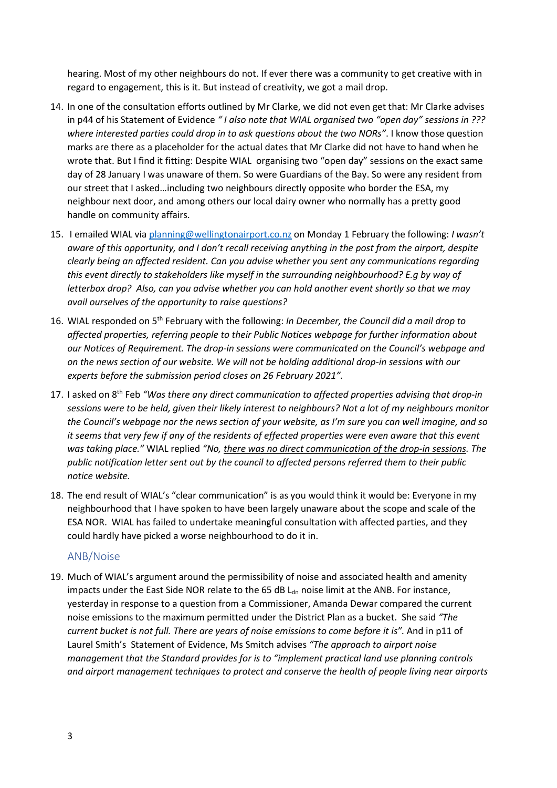hearing. Most of my other neighbours do not. If ever there was a community to get creative with in regard to engagement, this is it. But instead of creativity, we got a mail drop.

- 14. In one of the consultation efforts outlined by Mr Clarke, we did not even get that: Mr Clarke advises in p44 of his Statement of Evidence *" I also note that WIAL organised two "open day" sessions in ??? where interested parties could drop in to ask questions about the two NORs"*. I know those question marks are there as a placeholder for the actual dates that Mr Clarke did not have to hand when he wrote that. But I find it fitting: Despite WIAL organising two "open day" sessions on the exact same day of 28 January I was unaware of them. So were Guardians of the Bay. So were any resident from our street that I asked…including two neighbours directly opposite who border the ESA, my neighbour next door, and among others our local dairy owner who normally has a pretty good handle on community affairs.
- 15. I emailed WIAL via [planning@wellingtonairport.co.nz](mailto:planning@wellingtonairport.co.nz) on Monday 1 February the following: *I wasn't aware of this opportunity, and I don't recall receiving anything in the post from the airport, despite clearly being an affected resident. Can you advise whether you sent any communications regarding this event directly to stakeholders like myself in the surrounding neighbourhood? E.g by way of letterbox drop? Also, can you advise whether you can hold another event shortly so that we may avail ourselves of the opportunity to raise questions?*
- 16. WIAL responded on 5th February with the following: *In December, the Council did a mail drop to affected properties, referring people to their Public Notices webpage for further information about our Notices of Requirement. The drop-in sessions were communicated on the Council's webpage and on the news section of our website. We will not be holding additional drop-in sessions with our experts before the submission period closes on 26 February 2021".*
- 17. I asked on 8th Feb *"Was there any direct communication to affected properties advising that drop-in sessions were to be held, given their likely interest to neighbours? Not a lot of my neighbours monitor the Council's webpage nor the news section of your website, as I'm sure you can well imagine, and so it seems that very few if any of the residents of effected properties were even aware that this event was taking place."* WIAL replied *"No, there was no direct communication of the drop-in sessions. The public notification letter sent out by the council to affected persons referred them to their public notice website.*
- 18. The end result of WIAL's "clear communication" is as you would think it would be: Everyone in my neighbourhood that I have spoken to have been largely unaware about the scope and scale of the ESA NOR. WIAL has failed to undertake meaningful consultation with affected parties, and they could hardly have picked a worse neighbourhood to do it in.

## ANB/Noise

19. Much of WIAL's argument around the permissibility of noise and associated health and amenity impacts under the East Side NOR relate to the 65 dB  $L<sub>dn</sub>$  noise limit at the ANB. For instance, yesterday in response to a question from a Commissioner, Amanda Dewar compared the current noise emissions to the maximum permitted under the District Plan as a bucket. She said *"The current bucket is not full. There are years of noise emissions to come before it is".* And in p11 of Laurel Smith's Statement of Evidence, Ms Smitch advises *"The approach to airport noise management that the Standard provides for is to "implement practical land use planning controls and airport management techniques to protect and conserve the health of people living near airports*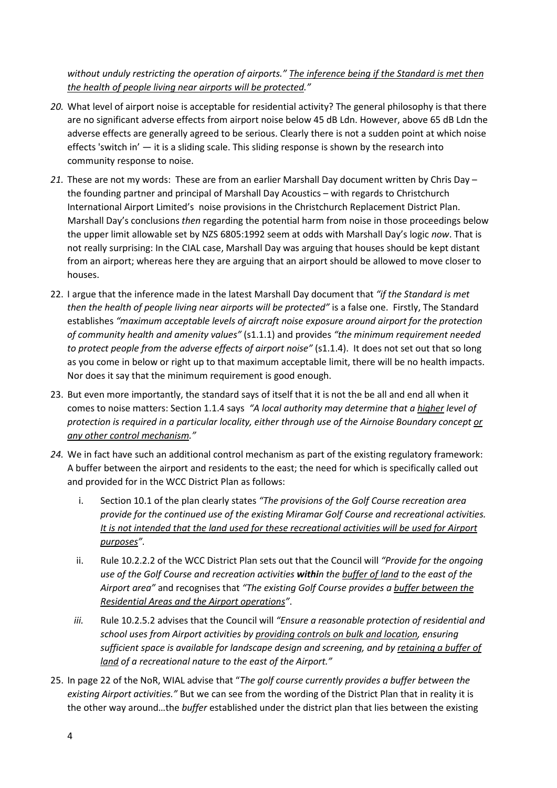*without unduly restricting the operation of airports." The inference being if the Standard is met then the health of people living near airports will be protected."*

- *20.* What level of airport noise is acceptable for residential activity? The general philosophy is that there are no significant adverse effects from airport noise below 45 dB Ldn. However, above 65 dB Ldn the adverse effects are generally agreed to be serious. Clearly there is not a sudden point at which noise effects 'switch in' — it is a sliding scale. This sliding response is shown by the research into community response to noise.
- *21.* These are not my words: These are from an earlier Marshall Day document written by Chris Day the founding partner and principal of Marshall Day Acoustics – with regards to Christchurch International Airport Limited's noise provisions in the Christchurch Replacement District Plan. Marshall Day's conclusions *then* regarding the potential harm from noise in those proceedings below the upper limit allowable set by NZS 6805:1992 seem at odds with Marshall Day's logic *now*. That is not really surprising: In the CIAL case, Marshall Day was arguing that houses should be kept distant from an airport; whereas here they are arguing that an airport should be allowed to move closer to houses.
- 22. I argue that the inference made in the latest Marshall Day document that *"if the Standard is met then the health of people living near airports will be protected"* is a false one. Firstly, The Standard establishes *"maximum acceptable levels of aircraft noise exposure around airport for the protection of community health and amenity values"* (s1.1.1) and provides *"the minimum requirement needed to protect people from the adverse effects of airport noise"* (s1.1.4). It does not set out that so long as you come in below or right up to that maximum acceptable limit, there will be no health impacts. Nor does it say that the minimum requirement is good enough.
- 23. But even more importantly, the standard says of itself that it is not the be all and end all when it comes to noise matters: Section 1.1.4 says *"A local authority may determine that a higher level of protection is required in a particular locality, either through use of the Airnoise Boundary concept or any other control mechanism."*
- *24.* We in fact have such an additional control mechanism as part of the existing regulatory framework: A buffer between the airport and residents to the east; the need for which is specifically called out and provided for in the WCC District Plan as follows:
	- i. Section 10.1 of the plan clearly states *"The provisions of the Golf Course recreation area provide for the continued use of the existing Miramar Golf Course and recreational activities. It is not intended that the land used for these recreational activities will be used for Airport purposes".*
	- ii. Rule 10.2.2.2 of the WCC District Plan sets out that the Council will *"Provide for the ongoing use of the Golf Course and recreation activities within the buffer of land to the east of the Airport area"* and recognises that *"The existing Golf Course provides a buffer between the Residential Areas and the Airport operations"*.
	- *iii.* Rule 10.2.5.2 advises that the Council will *"Ensure a reasonable protection of residential and school uses from Airport activities by providing controls on bulk and location, ensuring sufficient space is available for landscape design and screening, and by retaining a buffer of land of a recreational nature to the east of the Airport."*
- 25. In page 22 of the NoR, WIAL advise that "*The golf course currently provides a buffer between the existing Airport activities."* But we can see from the wording of the District Plan that in reality it is the other way around…the *buffer* established under the district plan that lies between the existing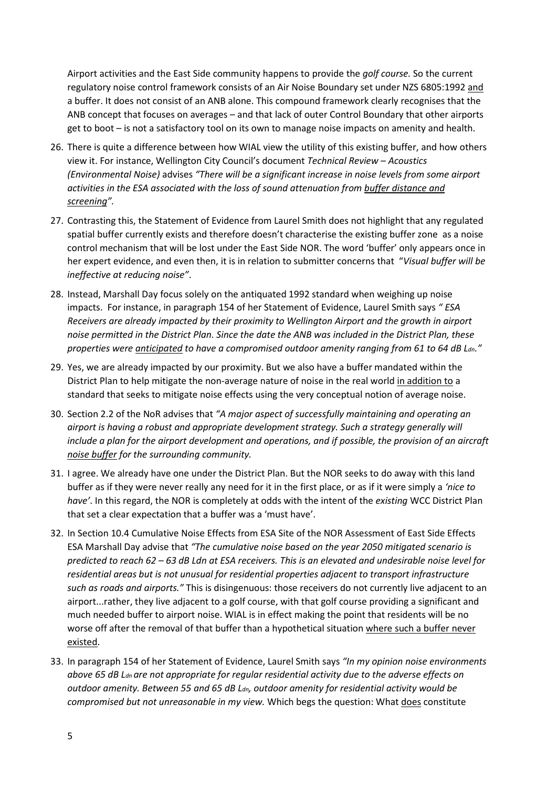Airport activities and the East Side community happens to provide the *golf course.* So the current regulatory noise control framework consists of an Air Noise Boundary set under NZS 6805:1992 and a buffer. It does not consist of an ANB alone. This compound framework clearly recognises that the ANB concept that focuses on averages – and that lack of outer Control Boundary that other airports get to boot – is not a satisfactory tool on its own to manage noise impacts on amenity and health.

- 26. There is quite a difference between how WIAL view the utility of this existing buffer, and how others view it. For instance, Wellington City Council's document *Technical Review – Acoustics (Environmental Noise)* advises *"There will be a significant increase in noise levels from some airport activities in the ESA associated with the loss of sound attenuation from buffer distance and screening".*
- 27. Contrasting this, the Statement of Evidence from Laurel Smith does not highlight that any regulated spatial buffer currently exists and therefore doesn't characterise the existing buffer zone as a noise control mechanism that will be lost under the East Side NOR. The word 'buffer' only appears once in her expert evidence, and even then, it is in relation to submitter concerns that "*Visual buffer will be ineffective at reducing noise"*.
- 28. Instead, Marshall Day focus solely on the antiquated 1992 standard when weighing up noise impacts. For instance, in paragraph 154 of her Statement of Evidence, Laurel Smith says *" ESA Receivers are already impacted by their proximity to Wellington Airport and the growth in airport noise permitted in the District Plan. Since the date the ANB was included in the District Plan, these properties were anticipated to have a compromised outdoor amenity ranging from 61 to 64 dB Ldn."*
- 29. Yes, we are already impacted by our proximity. But we also have a buffer mandated within the District Plan to help mitigate the non-average nature of noise in the real world in addition to a standard that seeks to mitigate noise effects using the very conceptual notion of average noise.
- 30. Section 2.2 of the NoR advises that *"A major aspect of successfully maintaining and operating an airport is having a robust and appropriate development strategy. Such a strategy generally will include a plan for the airport development and operations, and if possible, the provision of an aircraft noise buffer for the surrounding community.*
- 31. I agree. We already have one under the District Plan. But the NOR seeks to do away with this land buffer as if they were never really any need for it in the first place, or as if it were simply a *'nice to have'*. In this regard, the NOR is completely at odds with the intent of the *existing* WCC District Plan that set a clear expectation that a buffer was a 'must have'.
- 32. In Section 10.4 Cumulative Noise Effects from ESA Site of the NOR Assessment of East Side Effects ESA Marshall Day advise that *"The cumulative noise based on the year 2050 mitigated scenario is predicted to reach 62 – 63 dB Ldn at ESA receivers. This is an elevated and undesirable noise level for residential areas but is not unusual for residential properties adjacent to transport infrastructure such as roads and airports."* This is disingenuous: those receivers do not currently live adjacent to an airport...rather, they live adjacent to a golf course, with that golf course providing a significant and much needed buffer to airport noise. WIAL is in effect making the point that residents will be no worse off after the removal of that buffer than a hypothetical situation where such a buffer never existed.
- 33. In paragraph 154 of her Statement of Evidence, Laurel Smith says *"In my opinion noise environments above 65 dB Ldn are not appropriate for regular residential activity due to the adverse effects on outdoor amenity. Between 55 and 65 dB Ldn, outdoor amenity for residential activity would be compromised but not unreasonable in my view.* Which begs the question: What does constitute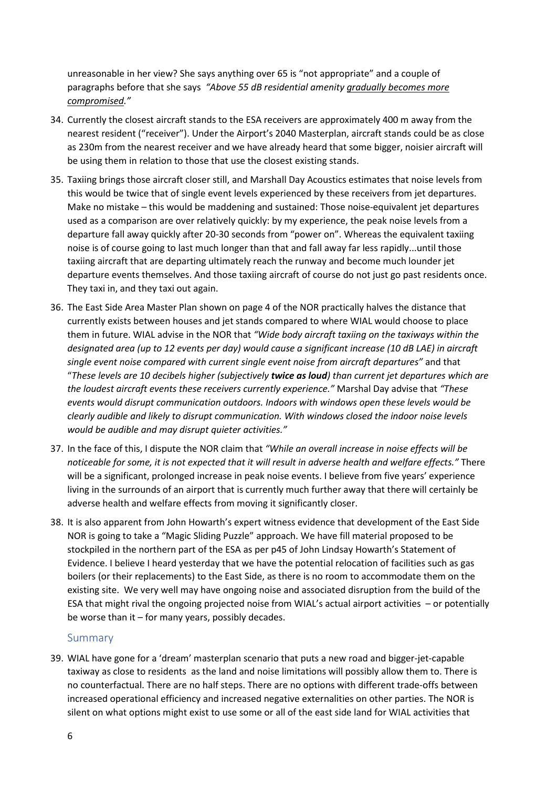unreasonable in her view? She says anything over 65 is "not appropriate" and a couple of paragraphs before that she says *"Above 55 dB residential amenity gradually becomes more compromised."*

- 34. Currently the closest aircraft stands to the ESA receivers are approximately 400 m away from the nearest resident ("receiver"). Under the Airport's 2040 Masterplan, aircraft stands could be as close as 230m from the nearest receiver and we have already heard that some bigger, noisier aircraft will be using them in relation to those that use the closest existing stands.
- 35. Taxiing brings those aircraft closer still, and Marshall Day Acoustics estimates that noise levels from this would be twice that of single event levels experienced by these receivers from jet departures. Make no mistake – this would be maddening and sustained: Those noise-equivalent jet departures used as a comparison are over relatively quickly: by my experience, the peak noise levels from a departure fall away quickly after 20-30 seconds from "power on". Whereas the equivalent taxiing noise is of course going to last much longer than that and fall away far less rapidly...until those taxiing aircraft that are departing ultimately reach the runway and become much lounder jet departure events themselves. And those taxiing aircraft of course do not just go past residents once. They taxi in, and they taxi out again.
- 36. The East Side Area Master Plan shown on page 4 of the NOR practically halves the distance that currently exists between houses and jet stands compared to where WIAL would choose to place them in future. WIAL advise in the NOR that *"Wide body aircraft taxiing on the taxiways within the designated area (up to 12 events per day) would cause a significant increase (10 dB LAE) in aircraft single event noise compared with current single event noise from aircraft departures"* and that "*These levels are 10 decibels higher (subjectively twice as loud) than current jet departures which are the loudest aircraft events these receivers currently experience."* Marshal Day advise that *"These events would disrupt communication outdoors. Indoors with windows open these levels would be clearly audible and likely to disrupt communication. With windows closed the indoor noise levels would be audible and may disrupt quieter activities."*
- 37. In the face of this, I dispute the NOR claim that *"While an overall increase in noise effects will be noticeable for some, it is not expected that it will result in adverse health and welfare effects."* There will be a significant, prolonged increase in peak noise events. I believe from five years' experience living in the surrounds of an airport that is currently much further away that there will certainly be adverse health and welfare effects from moving it significantly closer.
- 38. It is also apparent from John Howarth's expert witness evidence that development of the East Side NOR is going to take a "Magic Sliding Puzzle" approach. We have fill material proposed to be stockpiled in the northern part of the ESA as per p45 of John Lindsay Howarth's Statement of Evidence. I believe I heard yesterday that we have the potential relocation of facilities such as gas boilers (or their replacements) to the East Side, as there is no room to accommodate them on the existing site. We very well may have ongoing noise and associated disruption from the build of the ESA that might rival the ongoing projected noise from WIAL's actual airport activities – or potentially be worse than it – for many years, possibly decades.

## Summary

39. WIAL have gone for a 'dream' masterplan scenario that puts a new road and bigger-jet-capable taxiway as close to residents as the land and noise limitations will possibly allow them to. There is no counterfactual. There are no half steps. There are no options with different trade-offs between increased operational efficiency and increased negative externalities on other parties. The NOR is silent on what options might exist to use some or all of the east side land for WIAL activities that